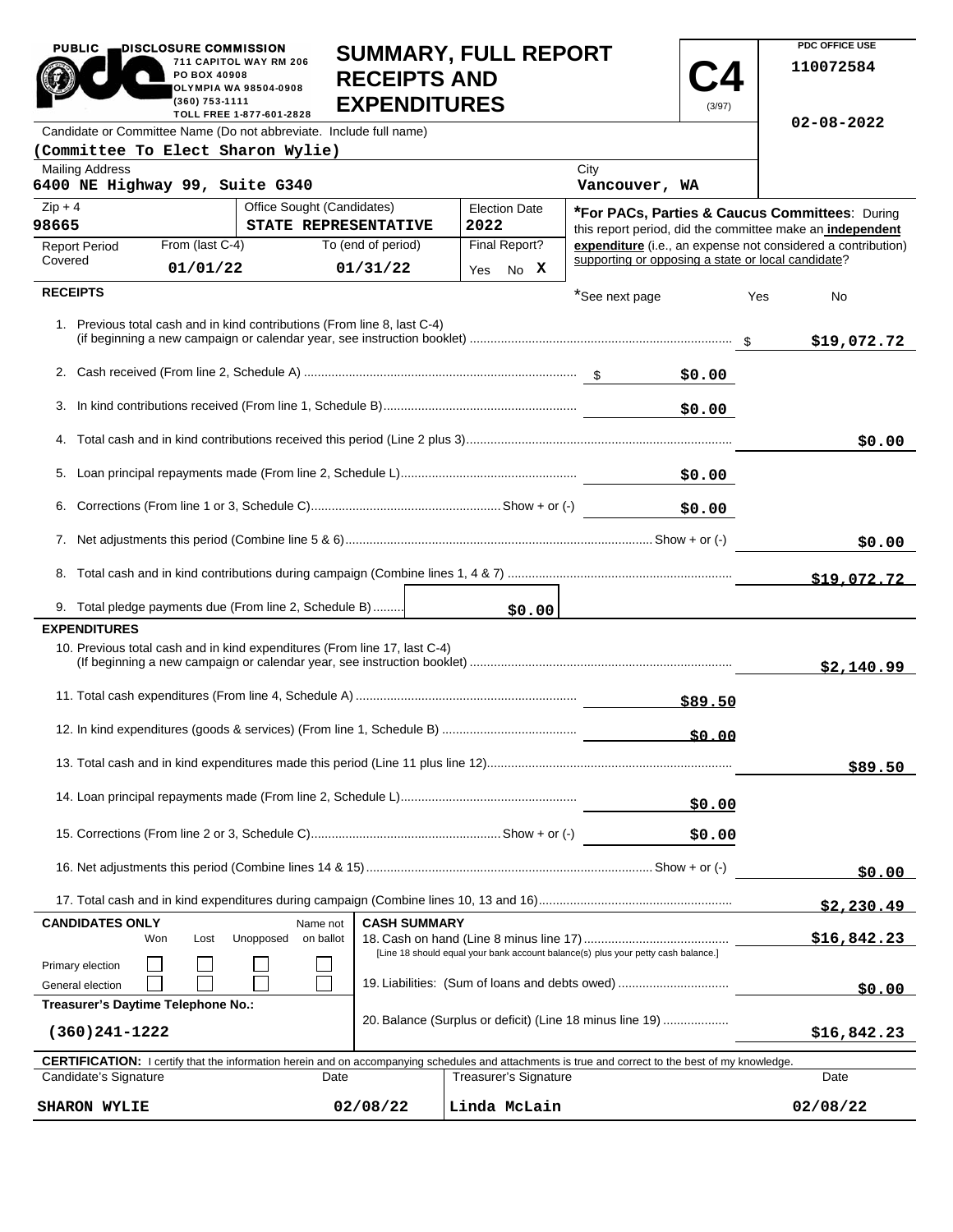| <b>PUBLIC</b><br>DISCLOSURE COMMISSION                                                                                                                                              |                                                 | <b>SUMMARY, FULL REPORT</b>                |                                                                        |                       |                                                    |             | PDC OFFICE USE     |                                                                                                                           |
|-------------------------------------------------------------------------------------------------------------------------------------------------------------------------------------|-------------------------------------------------|--------------------------------------------|------------------------------------------------------------------------|-----------------------|----------------------------------------------------|-------------|--------------------|---------------------------------------------------------------------------------------------------------------------------|
| PO BOX 40908<br>(360) 753-1111                                                                                                                                                      | 711 CAPITOL WAY RM 206<br>OLYMPIA WA 98504-0908 | <b>RECEIPTS AND</b><br><b>EXPENDITURES</b> |                                                                        |                       |                                                    | (3/97)      |                    | 110072584                                                                                                                 |
| Candidate or Committee Name (Do not abbreviate. Include full name)                                                                                                                  | TOLL FREE 1-877-601-2828                        |                                            |                                                                        |                       |                                                    |             |                    | $02 - 08 - 2022$                                                                                                          |
| (Committee To Elect Sharon Wylie)                                                                                                                                                   |                                                 |                                            |                                                                        |                       |                                                    |             |                    |                                                                                                                           |
| <b>Mailing Address</b><br>6400 NE Highway 99, Suite G340                                                                                                                            |                                                 |                                            |                                                                        |                       | City<br>Vancouver, WA                              |             |                    |                                                                                                                           |
| Office Sought (Candidates)<br>$Zip + 4$                                                                                                                                             |                                                 |                                            | <b>Election Date</b><br>*For PACs, Parties & Caucus Committees: During |                       |                                                    |             |                    |                                                                                                                           |
| 98665<br>From (last C-4)                                                                                                                                                            | STATE REPRESENTATIVE<br>To (end of period)      |                                            | 2022                                                                   | Final Report?         |                                                    |             |                    | this report period, did the committee make an independent<br>expenditure (i.e., an expense not considered a contribution) |
| <b>Report Period</b><br>Covered<br>01/01/22                                                                                                                                         | 01/31/22                                        |                                            |                                                                        |                       | supporting or opposing a state or local candidate? |             |                    |                                                                                                                           |
| <b>RECEIPTS</b>                                                                                                                                                                     |                                                 |                                            | Yes                                                                    | No X                  |                                                    |             |                    |                                                                                                                           |
| 1. Previous total cash and in kind contributions (From line 8, last C-4)                                                                                                            |                                                 |                                            |                                                                        |                       | *See next page                                     |             | Yes                | No<br>\$19,072.72                                                                                                         |
|                                                                                                                                                                                     |                                                 |                                            |                                                                        |                       |                                                    | \$0.00      |                    |                                                                                                                           |
|                                                                                                                                                                                     |                                                 |                                            |                                                                        |                       |                                                    |             |                    |                                                                                                                           |
| 3.                                                                                                                                                                                  |                                                 |                                            |                                                                        |                       |                                                    | \$0.00      |                    |                                                                                                                           |
|                                                                                                                                                                                     |                                                 |                                            |                                                                        |                       |                                                    |             |                    | \$0.00                                                                                                                    |
|                                                                                                                                                                                     |                                                 |                                            |                                                                        |                       |                                                    | \$0.00      |                    |                                                                                                                           |
|                                                                                                                                                                                     |                                                 |                                            |                                                                        |                       |                                                    | \$0.00      |                    |                                                                                                                           |
|                                                                                                                                                                                     |                                                 |                                            |                                                                        |                       |                                                    |             |                    |                                                                                                                           |
|                                                                                                                                                                                     |                                                 |                                            |                                                                        |                       |                                                    |             |                    | \$0.00                                                                                                                    |
|                                                                                                                                                                                     |                                                 |                                            |                                                                        |                       |                                                    |             |                    | \$19,072.72                                                                                                               |
| 9. Total pledge payments due (From line 2, Schedule B)                                                                                                                              |                                                 |                                            |                                                                        | \$0.00                |                                                    |             |                    |                                                                                                                           |
| <b>EXPENDITURES</b>                                                                                                                                                                 |                                                 |                                            |                                                                        |                       |                                                    |             |                    |                                                                                                                           |
| 10. Previous total cash and in kind expenditures (From line 17, last C-4)                                                                                                           |                                                 |                                            |                                                                        |                       |                                                    |             |                    | \$2,140.99                                                                                                                |
|                                                                                                                                                                                     |                                                 |                                            |                                                                        |                       |                                                    | \$89.50     |                    |                                                                                                                           |
|                                                                                                                                                                                     |                                                 |                                            |                                                                        |                       |                                                    | \$0.00      |                    |                                                                                                                           |
|                                                                                                                                                                                     |                                                 |                                            |                                                                        |                       |                                                    |             |                    | \$89.50                                                                                                                   |
|                                                                                                                                                                                     |                                                 |                                            |                                                                        |                       |                                                    | \$0.00      |                    |                                                                                                                           |
|                                                                                                                                                                                     |                                                 |                                            |                                                                        |                       |                                                    | \$0.00      |                    |                                                                                                                           |
|                                                                                                                                                                                     |                                                 |                                            |                                                                        |                       |                                                    |             |                    |                                                                                                                           |
|                                                                                                                                                                                     |                                                 |                                            |                                                                        |                       |                                                    |             |                    | \$0.00                                                                                                                    |
|                                                                                                                                                                                     |                                                 |                                            |                                                                        |                       |                                                    |             |                    | \$2,230.49                                                                                                                |
| <b>CASH SUMMARY</b><br><b>CANDIDATES ONLY</b><br>Name not<br>Unopposed<br>on ballot<br>Won<br>Lost                                                                                  |                                                 |                                            |                                                                        |                       |                                                    |             | <u>\$16,842.23</u> |                                                                                                                           |
| [Line 18 should equal your bank account balance(s) plus your petty cash balance.]<br>Primary election<br>19. Liabilities: (Sum of loans and debts owed)<br>General election         |                                                 |                                            |                                                                        |                       |                                                    | \$0.00      |                    |                                                                                                                           |
| Treasurer's Daytime Telephone No.:<br>20. Balance (Surplus or deficit) (Line 18 minus line 19)<br>$(360)241 - 1222$                                                                 |                                                 |                                            |                                                                        |                       |                                                    | \$16,842.23 |                    |                                                                                                                           |
|                                                                                                                                                                                     |                                                 |                                            |                                                                        |                       |                                                    |             |                    |                                                                                                                           |
| <b>CERTIFICATION:</b> I certify that the information herein and on accompanying schedules and attachments is true and correct to the best of my knowledge.<br>Candidate's Signature | Date                                            |                                            |                                                                        | Treasurer's Signature |                                                    |             |                    |                                                                                                                           |
|                                                                                                                                                                                     |                                                 |                                            |                                                                        |                       |                                                    |             |                    | Date                                                                                                                      |